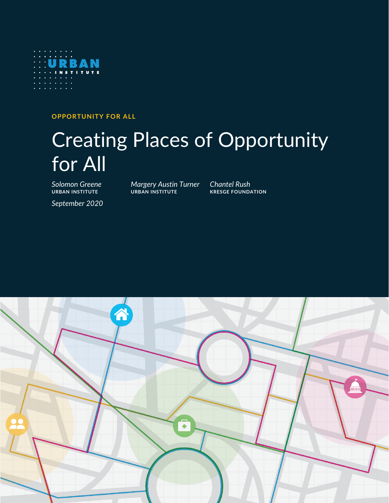

**OPPORTUNITY FOR ALL**

# Creating Places of Opportunity for All

*Solomon Greene Margery Austin Turner Chantel Rush* **URBAN INSTITUTE URBAN INSTITUTE KRESGE FOUNDATION**

*September 2020*

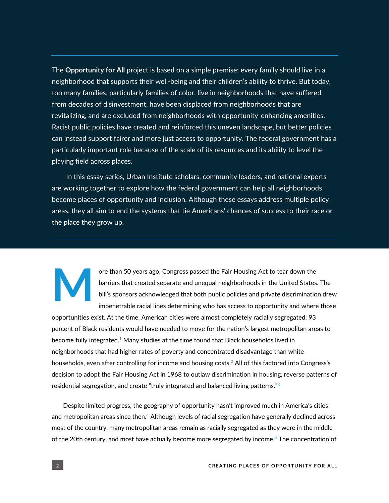The **Opportunity for All** project is based on a simple premise: every family should live in a neighborhood that supports their well-being and their children's ability to thrive. But today, too many families, particularly families of color, live in neighborhoods that have suffered from decades of disinvestment, have been displaced from neighborhoods that are revitalizing, and are excluded from neighborhoods with opportunity-enhancing amenities. Racist public policies have created and reinforced this uneven landscape, but better policies can instead support fairer and more just access to opportunity. The federal government has a particularly important role because of the scale of its resources and its ability to level the playing field across places.

In this essay series, Urban Institute scholars, community leaders, and national experts are working together to explore how the federal government can help all neighborhoods become places of opportunity and inclusion. Although these essays address multiple policy areas, they all aim to end the systems that tie Americans' chances of success to their race or the place they grow up.

# **M**

ore than 50 years ago, Congress passed the Fair Housing Act to tear down the barriers that created separate and unequal neighborhoods in the United States. The bill's sponsors acknowledged that both public policies and private discrimination drew impenetrable racial lines determining who has access to opportunity and where those

opportunities exist. At the time, American cities were almost completely racially segregated: 93 percent of Black residents would have needed to move for the nation's largest metropolitan areas to become fully integrated. $^1$  Many studies at the time found that Black households lived in neighborhoods that had higher rates of poverty and concentrated disadvantage than white households, even after controlling for income and housing costs. $2$  All of this factored into Congress's decision to adopt the Fair Housing Act in 1968 to outlaw discrimination in housing, reverse patterns of residential segregation, and create "truly integrated and balanced living patterns."<sup>3</sup>

Despite limited progress, the geography of opportunity hasn't improved much in America's cities and metropolitan areas since then. $4$  Although levels of racial segregation have generally declined across most of the country, many metropolitan areas remain as racially segregated as they were in the middle of the 20th century, and most have actually become more segregated by income.<sup>5</sup> The concentration of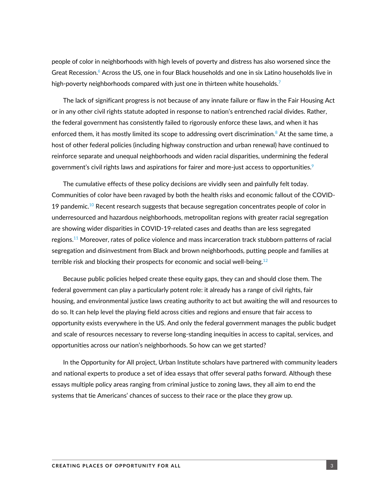people of color in neighborhoods with high levels of poverty and distress has also worsened since the Great Recession.<sup>6</sup> Across the US, one in four Black households and one in six Latino households live in high-poverty neighborhoods compared with just one in thirteen white households. $^7$ 

The lack of significant progress is not because of any innate failure or flaw in the Fair Housing Act or in any other civil rights statute adopted in response to nation's entrenched racial divides. Rather, the federal government has consistently failed to rigorously enforce these laws, and when it has enforced them, it has mostly limited its scope to addressing overt discrimination. ${}^{8}$  At the same time, a host of other federal policies (including highway construction and urban renewal) have continued to reinforce separate and unequal neighborhoods and widen racial disparities, undermining the federal government's civil rights laws and aspirations for fairer and more-just access to opportunities. $^9$ 

The cumulative effects of these policy decisions are vividly seen and painfully felt today. Communities of color have been ravaged by both the health risks and economic fallout of the COVID-19 pandemic.<sup>10</sup> Recent research suggests that because segregation concentrates people of color in underresourced and hazardous neighborhoods, metropolitan regions with greater racial segregation are showing wider disparities in COVID-19-related cases and deaths than are less segregated regions.<sup>11</sup> Moreover, rates of police violence and mass incarceration track stubborn patterns of racial segregation and disinvestment from Black and brown neighborhoods, putting people and families at terrible risk and blocking their prospects for economic and social well-being.<sup>12</sup>

Because public policies helped create these equity gaps, they can and should close them. The federal government can play a particularly potent role: it already has a range of civil rights, fair housing, and environmental justice laws creating authority to act but awaiting the will and resources to do so. It can help level the playing field across cities and regions and ensure that fair access to opportunity exists everywhere in the US. And only the federal government manages the public budget and scale of resources necessary to reverse long-standing inequities in access to capital, services, and opportunities across our nation's neighborhoods. So how can we get started?

In the Opportunity for All project, Urban Institute scholars have partnered with community leaders and national experts to produce a set of idea essays that offer several paths forward. Although these essays multiple policy areas ranging from criminal justice to zoning laws, they all aim to end the systems that tie Americans' chances of success to their race or the place they grow up.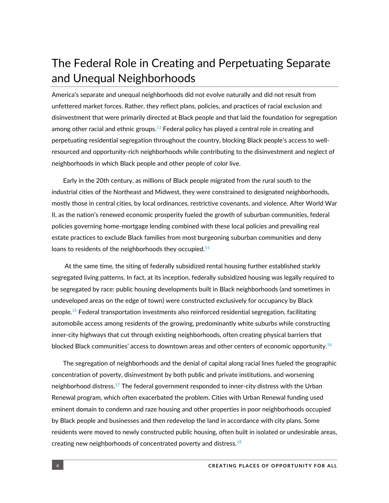### The Federal Role in Creating and Perpetuating Separate and Unequal Neighborhoods

America's separate and unequal neighborhoods did not evolve naturally and did not result from unfettered market forces. Rather, they reflect plans, policies, and practices of racial exclusion and disinvestment that were primarily directed at Black people and that laid the foundation for segregation among other racial and ethnic groups. $^{13}$  Federal policy has played a central role in creating and perpetuating residential segregation throughout the country, blocking Black people's access to wellresourced and opportunity-rich neighborhoods while contributing to the disinvestment and neglect of neighborhoods in which Black people and other people of color live.

Early in the 20th century, as millions of Black people migrated from the rural south to the industrial cities of the Northeast and Midwest, they were constrained to designated neighborhoods, mostly those in central cities, by local ordinances, restrictive covenants, and violence. After World War II, as the nation's renewed economic prosperity fueled the growth of suburban communities, federal policies governing home-mortgage lending combined with these local policies and prevailing real estate practices to exclude Black families from most burgeoning suburban communities and deny loans to residents of the neighborhoods they occupied. $^{14}$ 

At the same time, the siting of federally subsidized rental housing further established starkly segregated living patterns. In fact, at its inception, federally subsidized housing was legally required to be segregated by race: public housing developments built in Black neighborhoods (and sometimes in undeveloped areas on the edge of town) were constructed exclusively for occupancy by Black people.<sup>15</sup> Federal transportation investments also reinforced residential segregation, facilitating automobile access among residents of the growing, predominantly white suburbs while constructing inner-city highways that cut through existing neighborhoods, often creating physical barriers that blocked Black communities' access to downtown areas and other centers of economic opportunity. $^{16}$ 

The segregation of neighborhoods and the denial of capital along racial lines fueled the geographic concentration of poverty, disinvestment by both public and private institutions, and worsening neighborhood distress.<sup>17</sup> The federal government responded to inner-city distress with the Urban Renewal program, which often exacerbated the problem. Cities with Urban Renewal funding used eminent domain to condemn and raze housing and other properties in poor neighborhoods occupied by Black people and businesses and then redevelop the land in accordance with city plans. Some residents were moved to newly constructed public housing, often built in isolated or undesirable areas, creating new neighborhoods of concentrated poverty and distress. $^{18}$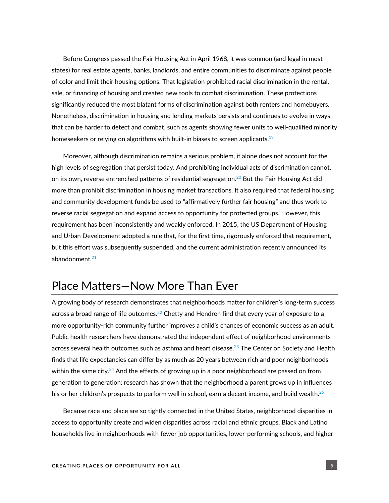Before Congress passed the Fair Housing Act in April 1968, it was common (and legal in most states) for real estate agents, banks, landlords, and entire communities to discriminate against people of color and limit their housing options. That legislation prohibited racial discrimination in the rental, sale, or financing of housing and created new tools to combat discrimination. These protections significantly reduced the most blatant forms of discrimination against both renters and homebuyers. Nonetheless, discrimination in housing and lending markets persists and continues to evolve in ways that can be harder to detect and combat, such as agents showing fewer units to well-qualified minority homeseekers or relying on algorithms with built-in biases to screen applicants. $^{19}$ 

Moreover, although discrimination remains a serious problem, it alone does not account for the high levels of segregation that persist today. And prohibiting individual acts of discrimination cannot, on its own, reverse entrenched patterns of residential segregation. $^{20}$  But the Fair Housing Act did more than prohibit discrimination in housing market transactions. It also required that federal housing and community development funds be used to "affirmatively further fair housing" and thus work to reverse racial segregation and expand access to opportunity for protected groups. However, this requirement has been inconsistently and weakly enforced. In 2015, the US Department of Housing and Urban Development adopted a rule that, for the first time, rigorously enforced that requirement, but this effort was subsequently suspended, and the current administration recently announced its abandonment. $21$ 

#### Place Matters—Now More Than Ever

A growing body of research demonstrates that neighborhoods matter for children's long-term success across a broad range of life outcomes. $^{22}$  Chetty and Hendren find that every year of exposure to a more opportunity-rich community further improves a child's chances of economic success as an adult. Public health researchers have demonstrated the independent effect of neighborhood environments across several health outcomes such as asthma and heart disease. $^{23}$  The Center on Society and Health finds that life expectancies can differ by as much as 20 years between rich and poor neighborhoods within the same city. $^{24}$  And the effects of growing up in a poor neighborhood are passed on from generation to generation: research has shown that the neighborhood a parent grows up in influences his or her children's prospects to perform well in school, earn a decent income, and build wealth. $^{25}$ 

Because race and place are so tightly connected in the United States, neighborhood disparities in access to opportunity create and widen disparities across racial and ethnic groups. Black and Latino households live in neighborhoods with fewer job opportunities, lower-performing schools, and higher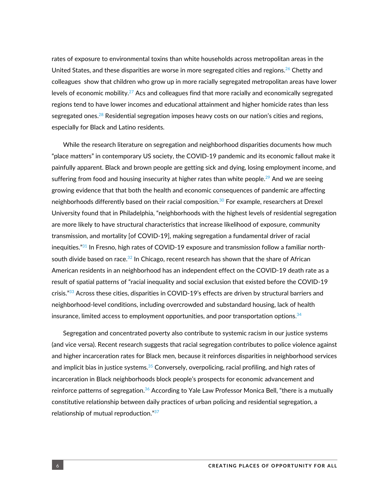rates of exposure to environmental toxins than white households across metropolitan areas in the United States, and these disparities are worse in more segregated cities and regions.<sup>26</sup> Chetty and colleagues show that children who grow up in more racially segregated metropolitan areas have lower levels of economic mobility.<sup>27</sup> Acs and colleagues find that more racially and economically segregated regions tend to have lower incomes and educational attainment and higher homicide rates than less segregated ones.<sup>28</sup> Residential segregation imposes heavy costs on our nation's cities and regions, especially for Black and Latino residents.

While the research literature on segregation and neighborhood disparities documents how much "place matters" in contemporary US society, the COVID-19 pandemic and its economic fallout make it painfully apparent. Black and brown people are getting sick and dying, losing employment income, and suffering from food and housing insecurity at higher rates than white people. $^{29}$  And we are seeing growing evidence that that both the health and economic consequences of pandemic are affecting neighborhoods differently based on their racial composition.<sup>30</sup> For example, researchers at Drexel University found that in Philadelphia, "neighborhoods with the highest levels of residential segregation are more likely to have structural characteristics that increase likelihood of exposure, community transmission, and mortality [of COVID-19], making segregation a fundamental driver of racial inequities. $"^{31}$  In Fresno, high rates of COVID-19 exposure and transmission follow a familiar northsouth divide based on race. $32$  In Chicago, recent research has shown that the share of African American residents in an neighborhood has an independent effect on the COVID-19 death rate as a result of spatial patterns of "racial inequality and social exclusion that existed before the COVID-19 crisis." $^{33}$  Across these cities, disparities in COVID-19's effects are driven by structural barriers and neighborhood-level conditions, including overcrowded and substandard housing, lack of health insurance, limited access to employment opportunities, and poor transportation options. $34$ 

Segregation and concentrated poverty also contribute to systemic racism in our justice systems (and vice versa). Recent research suggests that racial segregation contributes to police violence against and higher incarceration rates for Black men, because it reinforces disparities in neighborhood services and implicit bias in justice systems.<sup>35</sup> Conversely, overpolicing, racial profiling, and high rates of incarceration in Black neighborhoods block people's prospects for economic advancement and reinforce patterns of segregation.<sup>36</sup> According to Yale Law Professor Monica Bell, "there is a mutually constitutive relationship between daily practices of urban policing and residential segregation, a relationship of mutual reproduction."<sup>37</sup>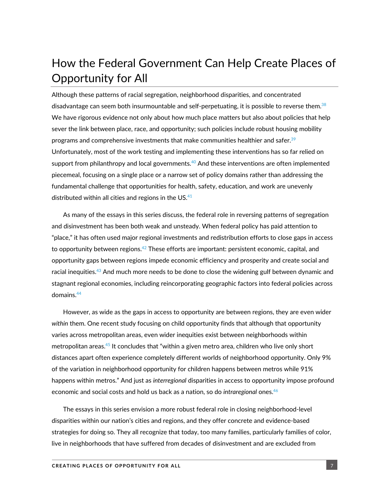## How the Federal Government Can Help Create Places of Opportunity for All

Although these patterns of racial segregation, neighborhood disparities, and concentrated disadvantage can seem both insurmountable and self-perpetuating, it is possible to reverse them. $^{38}$ We have rigorous evidence not only about how much place matters but also about policies that help sever the link between place, race, and opportunity; such policies include robust housing mobility programs and comprehensive investments that make communities healthier and safer.<sup>39</sup> Unfortunately, most of the work testing and implementing these interventions has so far relied on support from philanthropy and local governments. $^{40}$  And these interventions are often implemented piecemeal, focusing on a single place or a narrow set of policy domains rather than addressing the fundamental challenge that opportunities for health, safety, education, and work are unevenly distributed within all cities and regions in the US. $^{41}$ 

As many of the essays in this series discuss, the federal role in reversing patterns of segregation and disinvestment has been both weak and unsteady. When federal policy has paid attention to "place," it has often used major regional investments and redistribution efforts to close gaps in access to opportunity between regions. $^{42}$  These efforts are important: persistent economic, capital, and opportunity gaps between regions impede economic efficiency and prosperity and create social and racial inequities.<sup>43</sup> And much more needs to be done to close the widening gulf between dynamic and stagnant regional economies, including reincorporating geographic factors into federal policies across domains.<sup>44</sup>

However, as wide as the gaps in access to opportunity are between regions, they are even wider *within* them. One recent study focusing on child opportunity finds that although that opportunity varies across metropolitan areas, even wider inequities exist between neighborhoods within metropolitan areas. $^{45}$  It concludes that "within a given metro area, children who live only short distances apart often experience completely different worlds of neighborhood opportunity. Only 9% of the variation in neighborhood opportunity for children happens between metros while 91% happens within metros." And just as *interregional* disparities in access to opportunity impose profound economic and social costs and hold us back as a nation, so do *intraregional* ones.<sup>46</sup>

The essays in this series envision a more robust federal role in closing neighborhood-level disparities within our nation's cities and regions, and they offer concrete and evidence-based strategies for doing so. They all recognize that today, too many families, particularly families of color, live in neighborhoods that have suffered from decades of disinvestment and are excluded from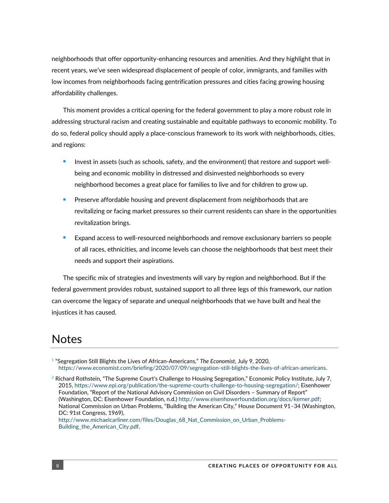neighborhoods that offer opportunity-enhancing resources and amenities. And they highlight that in recent years, we've seen widespread displacement of people of color, immigrants, and families with low incomes from neighborhoods facing gentrification pressures and cities facing growing housing affordability challenges.

This moment provides a critical opening for the federal government to play a more robust role in addressing structural racism and creating sustainable and equitable pathways to economic mobility. To do so, federal policy should apply a place-conscious framework to its work with neighborhoods, cities, and regions:

- Invest in assets (such as schools, safety, and the environment) that restore and support wellbeing and economic mobility in distressed and disinvested neighborhoods so every neighborhood becomes a great place for families to live and for children to grow up.
- Preserve affordable housing and prevent displacement from neighborhoods that are revitalizing or facing market pressures so their current residents can share in the opportunities revitalization brings.
- Expand access to well-resourced neighborhoods and remove exclusionary barriers so people of all races, ethnicities, and income levels can choose the neighborhoods that best meet their needs and support their aspirations.

The specific mix of strategies and investments will vary by region and neighborhood. But if the federal government provides robust, sustained support to all three legs of this framework, our nation can overcome the legacy of separate and unequal neighborhoods that we have built and heal the injustices it has caused.

#### **Notes**

1 "Segregation Still Blights the Lives of African-Americans," *The Economist*, July 9, 2020, [https://www.economist.com/briefing/2020/07/09/segregation-still-blights-the-lives-of-african-americans.](https://www.economist.com/briefing/2020/07/09/segregation-still-blights-the-lives-of-african-americans)

 $^2$  Richard Rothstein, "The Supreme Court's Challenge to Housing Segregation," Economic Policy Institute, July 7, 2015[, https://www.epi.org/publication/the-supreme-courts-challenge-to-housing-segregation/;](https://www.epi.org/publication/the-supreme-courts-challenge-to-housing-segregation/) Eisenhower Foundation, "Report of the National Advisory Commission on Civil Disorders – Summary of Report" (Washington, DC: Eisenhower Foundation, n.d.) [http://www.eisenhowerfoundation.org/docs/kerner.pdf;](http://www.eisenhowerfoundation.org/docs/kerner.pdf)  National Commission on Urban Problems, "Building the American City," House Document 91–34 (Washington, DC: 91st Congress, 1969), [http://www.michaelcarliner.com/files/Douglas\\_68\\_Nat\\_Commission\\_on\\_Urban\\_Problems-](http://www.michaelcarliner.com/files/Douglas_68_Nat_Commission_on_Urban_Problems-Building_the_American_City.pdf)

[Building\\_the\\_American\\_City.pdf.](http://www.michaelcarliner.com/files/Douglas_68_Nat_Commission_on_Urban_Problems-Building_the_American_City.pdf)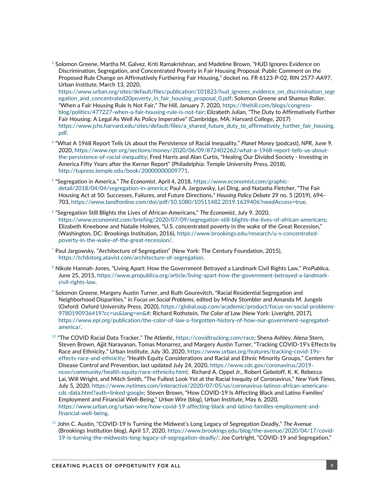$^{\rm 3}$  Solomon Greene, Martha M. Galvez, Kriti Ramakrishnan, and Madeline Brown, "HUD Ignores Evidence on  $\,$ Discrimination, Segregation, and Concentrated Poverty in Fair Housing Proposal: Public Comment on the Proposed Rule Change on Affirmatively Furthering Fair Housing," docket no. FR 6123-P-02, RIN 2577-AA97, Urban Institute, March 13, 2020,

[https://www.urban.org/sites/default/files/publication/101823/hud\\_ignores\\_evidence\\_on\\_discrimination\\_segr](https://www.urban.org/sites/default/files/publication/101823/hud_ignores_evidence_on_discrimination_segregation_and_concentrated20poverty_in_fair_housing_proposal_0.pdf) [egation\\_and\\_concentrated20poverty\\_in\\_fair\\_housing\\_proposal\\_0.pdf;](https://www.urban.org/sites/default/files/publication/101823/hud_ignores_evidence_on_discrimination_segregation_and_concentrated20poverty_in_fair_housing_proposal_0.pdf) Solomon Greene and Shamus Roller, "When a Fair Housing Rule Is Not Fair," *The Hill*, January 7, 2020[, https://thehill.com/blogs/congress](https://thehill.com/blogs/congress-blog/politics/477227-when-a-fair-housing-rule-is-not-fair)[blog/politics/477227-when-a-fair-housing-rule-is-not-fair](https://thehill.com/blogs/congress-blog/politics/477227-when-a-fair-housing-rule-is-not-fair); Elizabeth Julian, "The Duty to Affirmatively Further Fair Housing: A Legal As Well As Policy Imperative" (Cambridge, MA: Harvard College, 2017) [https://www.jchs.harvard.edu/sites/default/files/a\\_shared\\_future\\_duty\\_to\\_affirmatively\\_further\\_fair\\_housing.](https://www.jchs.harvard.edu/sites/default/files/a_shared_future_duty_to_affirmatively_further_fair_housing.pdf) [pdf.](https://www.jchs.harvard.edu/sites/default/files/a_shared_future_duty_to_affirmatively_further_fair_housing.pdf)

- 4 "What A 1968 Report Tells Us about the Persistence of Racial Inequality," *Planet Money* (podcast), *NPR*, June 9, 2020[, https://www.npr.org/sections/money/2020/06/09/872402262/what-a-1968-report-tells-us-about](https://www.npr.org/sections/money/2020/06/09/872402262/what-a-1968-report-tells-us-about-the-persistence-of-racial-inequality)[the-persistence-of-racial-inequality](https://www.npr.org/sections/money/2020/06/09/872402262/what-a-1968-report-tells-us-about-the-persistence-of-racial-inequality); Fred Harris and Alan Curtis, "Healing Our Divided Society - Investing in America Fifty Years after the Kerner Report" (Philadelphia: Temple University Press, 2018), [http://tupress.temple.edu/book/20000000009771.](http://tupress.temple.edu/book/20000000009771)
- 5 "Segregation in America," *The Economist*, April 4, 2018[, https://www.economist.com/graphic](https://www.economist.com/graphic-detail/2018/04/04/segregation-in-america)[detail/2018/04/04/segregation-in-america;](https://www.economist.com/graphic-detail/2018/04/04/segregation-in-america) Paul A. Jargowsky, Lei Ding, and Natasha Fletcher, "The Fair Housing Act at 50: Successes, Failures, and Future Directions," *Housing Policy Debate* 29 no. 5 (2019), 694– 703, [https://www.tandfonline.com/doi/pdf/10.1080/10511482.2019.1639406?needAccess=true.](https://www.tandfonline.com/doi/pdf/10.1080/10511482.2019.1639406?needAccess=true)
- 6 "Segregation Still Blights the Lives of African-Americans," *The Economist*, July 9, 2020, [https://www.economist.com/briefing/2020/07/09/segregation-still-blights-the-lives-of-african-americans;](https://www.economist.com/briefing/2020/07/09/segregation-still-blights-the-lives-of-african-americans) Elizabeth Kneebone and Natalie Holmes, "U.S. concentrated poverty in the wake of the Great Recession," (Washington, DC: Brookings Institution, 2016)[, https://www.brookings.edu/research/u-s-concentrated](https://www.brookings.edu/research/u-s-concentrated-poverty-in-the-wake-of-the-great-recession/)[poverty-in-the-wake-of-the-great-recession/.](https://www.brookings.edu/research/u-s-concentrated-poverty-in-the-wake-of-the-great-recession/)
- <sup>7</sup> Paul Jargowsky, "Architecture of Segregation" (New York: The Century Foundation, 2015), [https://tcfdotorg.atavist.com/architecture-of-segregation.](https://tcfdotorg.atavist.com/architecture-of-segregation)
- <sup>8</sup> Nikole Hannah-Jones, "Living Apart: How the Government Betrayed a Landmark Civil Rights Law," *ProPublica*, June 25, 2015, [https://www.propublica.org/article/living-apart-how-the-government-betrayed-a-landmark](https://www.propublica.org/article/living-apart-how-the-government-betrayed-a-landmark-civil-rights-law)[civil-rights-law.](https://www.propublica.org/article/living-apart-how-the-government-betrayed-a-landmark-civil-rights-law)
- $9$  Solomon Greene, Margery Austin Turner, and Ruth Gourevitch, "Racial Residential Segregation and Neighborhood Disparities," in *Focus on Social Problems*, edited by Mindy Stombler and Amanda M. Jungels (Oxford: Oxford University Press, 2020), [https://global.oup.com/academic/product/focus-on-social-problems-](https://global.oup.com/academic/product/focus-on-social-problems-9780190936419?cc=us&lang=en&)[9780190936419?cc=us&lang=en&#;](https://global.oup.com/academic/product/focus-on-social-problems-9780190936419?cc=us&lang=en&) Richard Rothstein, *The Color of Law* (New York: Liveright, 2017), [https://www.epi.org/publication/the-color-of-law-a-forgotten-history-of-how-our-government-segregated](https://www.epi.org/publication/the-color-of-law-a-forgotten-history-of-how-our-government-segregated-america/)[america/.](https://www.epi.org/publication/the-color-of-law-a-forgotten-history-of-how-our-government-segregated-america/)
- 10 "The COVID Racial Data Tracker," *The Atlantic*[, https://covidtracking.com/race;](https://covidtracking.com/race) Shena Ashley, Alena Stern, Steven Brown, Ajjit Narayanan, Tomas Monarrez, and Margery Austin Turner, "Tracking COVID-19's Effects by Race and Ethnicity," Urban Institute, July 30, 2020, [https://www.urban.org/features/tracking-covid-19s](https://www.urban.org/features/tracking-covid-19s-effects-race-and-ethnicity)[effects-race-and-ethnicity](https://www.urban.org/features/tracking-covid-19s-effects-race-and-ethnicity); "Health Equity Considerations and Racial and Ethnic Minority Groups," Centers for Disease Control and Prevention, last updated July 24, 2020, [https://www.cdc.gov/coronavirus/2019](https://www.cdc.gov/coronavirus/2019-ncov/community/health-equity/race-ethnicity.html) [ncov/community/health-equity/race-ethnicity.html;](https://www.cdc.gov/coronavirus/2019-ncov/community/health-equity/race-ethnicity.html) Richard A. Oppel Jr., Robert Gebeloff, K. K. Rebecca Lai, Will Wright, and Mitch Smith, "The Fullest Look Yet at the Racial Inequity of Coronavirus," *New York Times*, July 5, 2020, [https://www.nytimes.com/interactive/2020/07/05/us/coronavirus-latinos-african-americans](https://www.nytimes.com/interactive/2020/07/05/us/coronavirus-latinos-african-americans-cdc-data.html?auth=linked-google)[cdc-data.html?auth=linked-google;](https://www.nytimes.com/interactive/2020/07/05/us/coronavirus-latinos-african-americans-cdc-data.html?auth=linked-google) Steven Brown, "How COVID-19 Is Affecting Black and Latino Families' Employment and Financial Well-Being," *Urban Wire* (blog), Urban Institute, May 6, 2020, [https://www.urban.org/urban-wire/how-covid-19-affecting-black-and-latino-families-employment-and](https://www.urban.org/urban-wire/how-covid-19-affecting-black-and-latino-families-employment-and-financial-well-being)[financial-well-being.](https://www.urban.org/urban-wire/how-covid-19-affecting-black-and-latino-families-employment-and-financial-well-being)
- <sup>11</sup> John C. Austin, "COVID-19 Is Turning the Midwest's Long Legacy of Segregation Deadly," *The Avenue* (Brookings Institution blog), April 17, 2020, [https://www.brookings.edu/blog/the-avenue/2020/04/17/covid-](https://www.brookings.edu/blog/the-avenue/2020/04/17/covid-19-is-turning-the-midwests-long-legacy-of-segregation-deadly/)[19-is-turning-the-midwests-long-legacy-of-segregation-deadly/](https://www.brookings.edu/blog/the-avenue/2020/04/17/covid-19-is-turning-the-midwests-long-legacy-of-segregation-deadly/); Joe Cortright, "COVID-19 and Segregation,"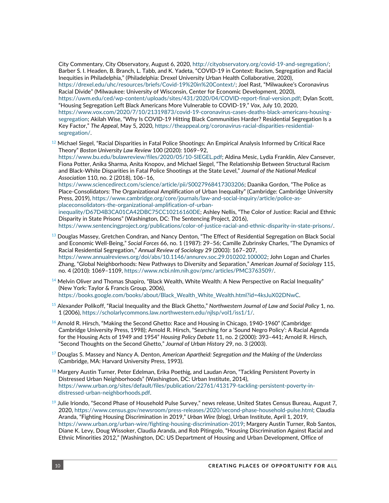City Commentary, City Observatory, August 6, 2020, [http://cityobservatory.org/covid-19-and-segregation/;](http://cityobservatory.org/covid-19-and-segregation/) Barber S. I. Headen, B. Branch, L. Tabb, and K. Yadeta, "COVID-19 in Context: Racism, Segregation and Racial Inequities in Philadelphia," (Philadelphia: Drexel University Urban Health Collaborative, 2020), <https://drexel.edu/uhc/resources/briefs/Covid-19%20in%20Context/>; Joel Rast, "Milwaukee's Coronavirus Racial Divide" (Milwaukee: University of Wisconsin, Center for Economic Development, 2020), [https://uwm.edu/ced/wp-content/uploads/sites/431/2020/04/COVID-report-final-version.pdf;](https://uwm.edu/ced/wp-content/uploads/sites/431/2020/04/COVID-report-final-version.pdf) Dylan Scott, "Housing Segregation Left Black Americans More Vulnerable to COVID-19," *Vox*, July 10, 2020, [https://www.vox.com/2020/7/10/21319873/covid-19-coronavirus-cases-deaths-black-americans-housing](https://www.vox.com/2020/7/10/21319873/covid-19-coronavirus-cases-deaths-black-americans-housing-segregation)[segregation](https://www.vox.com/2020/7/10/21319873/covid-19-coronavirus-cases-deaths-black-americans-housing-segregation); Akilah Wise, "Why Is COVID-19 Hitting Black Communities Harder? Residential Segregation Is a Key Factor," *The Appeal*, May 5, 2020, [https://theappeal.org/coronavirus-racial-disparities-residential](https://theappeal.org/coronavirus-racial-disparities-residential-segregation/)[segregation/.](https://theappeal.org/coronavirus-racial-disparities-residential-segregation/)

 $12$  Michael Siegel, "Racial Disparities in Fatal Police Shootings: An Empirical Analysis Informed by Critical Race Theory" *Boston University Law Review* 100 (2020): 1069–92,

[https://www.bu.edu/bulawreview/files/2020/05/10-SIEGEL.pdf;](https://www.bu.edu/bulawreview/files/2020/05/10-SIEGEL.pdf) Aldina Mesic, Lydia Franklin, Alev Cansever, Fiona Potter, Anika Sharma, Anita Knopov, and Michael Siegel, "The Relationship Between Structural Racism and Black-White Disparities in Fatal Police Shootings at the State Level," *Journal of the National Medical Association* 110, no. 2 (2018), 106–16,

<https://www.sciencedirect.com/science/article/pii/S0027968417303206>; Daanika Gordon, "The Police as Place-Consolidators: The Organizational Amplification of Urban Inequality" (Cambridge: Cambridge University Press, 2019), [https://www.cambridge.org/core/journals/law-and-social-inquiry/article/police-as](https://www.cambridge.org/core/journals/law-and-social-inquiry/article/police-as-placeconsolidators-the-organizational-amplification-of-urban-inequality/D67D4B3CA01CA42DBC75CC10216160DE)[placeconsolidators-the-organizational-amplification-of-urban-](https://www.cambridge.org/core/journals/law-and-social-inquiry/article/police-as-placeconsolidators-the-organizational-amplification-of-urban-inequality/D67D4B3CA01CA42DBC75CC10216160DE)

[inequality/D67D4B3CA01CA42DBC75CC10216160DE;](https://www.cambridge.org/core/journals/law-and-social-inquiry/article/police-as-placeconsolidators-the-organizational-amplification-of-urban-inequality/D67D4B3CA01CA42DBC75CC10216160DE) Ashley Nellis, "The Color of Justice: Racial and Ethnic Disparity in State Prisons" (Washington, DC: The Sentencing Project, 2016),

[https://www.sentencingproject.org/publications/color-of-justice-racial-and-ethnic-disparity-in-state-prisons/.](https://www.sentencingproject.org/publications/color-of-justice-racial-and-ethnic-disparity-in-state-prisons/)

 $^\mathrm{13}$  Douglas Massey, Gretchen Condran, and Nancy Denton, "The Effect of Residential Segregation on Black Social and Economic Well-Being," *Social Forces* 66, no. 1 (1987): 29–56; Camille Zubrinsky Charles, "The Dynamics of Racial Residential Segregation," *Annual Review of Sociology* 29 (2003): 167–207, [https://www.annualreviews.org/doi/abs/10.1146/annurev.soc.29.010202.100002;](https://www.annualreviews.org/doi/abs/10.1146/annurev.soc.29.010202.100002) John Logan and Charles Zhang, "Global Neighborhoods: New Pathways to Diversity and Separation," *American Journal of Sociology* 115, no. 4 (2010): 1069–1109, [https://www.ncbi.nlm.nih.gov/pmc/articles/PMC3763509/.](https://www.ncbi.nlm.nih.gov/pmc/articles/PMC3763509/)

- $^{14}$  Melvin Oliver and Thomas Shapiro, "Black Wealth, White Wealth: A New Perspective on Racial Inequality" (New York: Taylor & Francis Group, 2006), [https://books.google.com/books/about/Black\\_Wealth\\_White\\_Wealth.html?id=4ksJuX02DNwC.](https://books.google.com/books/about/Black_Wealth_White_Wealth.html?id=4ksJuX02DNwC)
- <sup>15</sup> Alexander Polikoff, "Racial Inequality and the Black Ghetto," *Northwestern Journal of Law and Social Policy* 1, no. 1 (2006)[, https://scholarlycommons.law.northwestern.edu/njlsp/vol1/iss1/1/.](https://scholarlycommons.law.northwestern.edu/njlsp/vol1/iss1/1/)
- $16$  Arnold R. Hirsch, "Making the Second Ghetto: Race and Housing in Chicago, 1940-1960" (Cambridge: Cambridge University Press, 1998); Arnold R. Hirsch, "Searching for a 'Sound Negro Policy': A Racial Agenda for the Housing Acts of 1949 and 1954" *Housing Policy Debate* 11, no. 2 (2000): 393–441; Arnold R. Hirsch, "Second Thoughts on the Second Ghetto," *Journal of Urban History* 29, no. 3 (2003).
- <sup>17</sup> Douglas S. Massey and Nancy A. Denton, *American Apartheid: Segregation and the Making of the Underclass* (Cambridge, MA: Harvard University Press, 1993).
- $^{18}$  Margery Austin Turner, Peter Edelman, Erika Poethig, and Laudan Aron, "Tackling Persistent Poverty in Distressed Urban Neighborhoods" (Washington, DC: Urban Institute, 2014), [https://www.urban.org/sites/default/files/publication/22761/413179-tackling-persistent-poverty-in](https://www.urban.org/sites/default/files/publication/22761/413179-tackling-persistent-poverty-in-distressed-urban-neighborhoods.pdf)[distressed-urban-neighborhoods.pdf.](https://www.urban.org/sites/default/files/publication/22761/413179-tackling-persistent-poverty-in-distressed-urban-neighborhoods.pdf)
- $19$  Julie Iriondo, "Second Phase of Household Pulse Survey," news release, United States Census Bureau, August 7, 2020[, https://www.census.gov/newsroom/press-releases/2020/second-phase-household-pulse.html;](https://www.census.gov/newsroom/press-releases/2020/second-phase-household-pulse.html) Claudia Aranda, "Fighting Housing Discrimination in 2019," *Urban Wire* (blog), Urban Institute, April 1, 2019, [https://www.urban.org/urban-wire/fighting-housing-discrimination-2019;](https://www.urban.org/urban-wire/fighting-housing-discrimination-2019) Margery Austin Turner, Rob Santos, Diane K. Levy, Doug Wissoker, Claudia Aranda, and Rob Pitingolo, "Housing Discrimination Against Racial and Ethnic Minorities 2012," (Washington, DC: US Department of Housing and Urban Development, Office of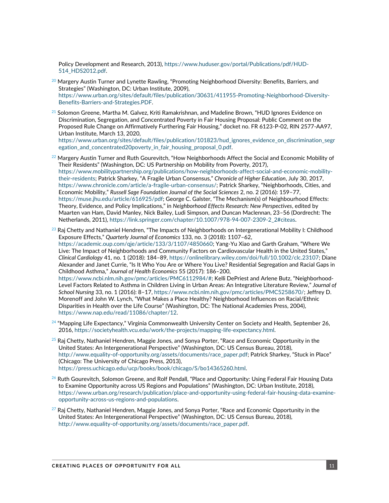Policy Development and Research, 2013), [https://www.huduser.gov/portal/Publications/pdf/HUD-](https://www.huduser.gov/portal/Publications/pdf/HUD-514_HDS2012.pdf)[514\\_HDS2012.pdf.](https://www.huduser.gov/portal/Publications/pdf/HUD-514_HDS2012.pdf)

- $^{20}$  Margery Austin Turner and Lynette Rawling, "Promoting Neighborhood Diversity: Benefits, Barriers, and Strategies" (Washington, DC: Urban Institute, 2009), [https://www.urban.org/sites/default/files/publication/30631/411955-Promoting-Neighborhood-Diversity-](https://www.urban.org/sites/default/files/publication/30631/411955-Promoting-Neighborhood-Diversity-Benefits-Barriers-and-Strategies.PDF)[Benefits-Barriers-and-Strategies.PDF.](https://www.urban.org/sites/default/files/publication/30631/411955-Promoting-Neighborhood-Diversity-Benefits-Barriers-and-Strategies.PDF)
- $^{21}$  Solomon Greene, Martha M. Galvez, Kriti Ramakrishnan, and Madeline Brown, "HUD Ignores Evidence on Discrimination, Segregation, and Concentrated Poverty in Fair Housing Proposal: Public Comment on the Proposed Rule Change on Affirmatively Furthering Fair Housing," docket no. FR 6123-P-02, RIN 2577-AA97, Urban Institute, March 13, 2020,

[https://www.urban.org/sites/default/files/publication/101823/hud\\_ignores\\_evidence\\_on\\_discrimination\\_segr](https://www.urban.org/sites/default/files/publication/101823/hud_ignores_evidence_on_discrimination_segregation_and_concentrated20poverty_in_fair_housing_proposal_0.pdf) [egation\\_and\\_concentrated20poverty\\_in\\_fair\\_housing\\_proposal\\_0.pdf.](https://www.urban.org/sites/default/files/publication/101823/hud_ignores_evidence_on_discrimination_segregation_and_concentrated20poverty_in_fair_housing_proposal_0.pdf)

- $^{22}$  Margery Austin Turner and Ruth Gourevitch, "How Neighborhoods Affect the Social and Economic Mobility of Their Residents" (Washington, DC: US Partnership on Mobility from Poverty, 2017), [https://www.mobilitypartnership.org/publications/how-neighborhoods-affect-social-and-economic-mobility](https://www.mobilitypartnership.org/publications/how-neighborhoods-affect-social-and-economic-mobility-their-residents)[their-residents](https://www.mobilitypartnership.org/publications/how-neighborhoods-affect-social-and-economic-mobility-their-residents); Patrick Sharkey, "A Fragile Urban Consensus," *Chronicle of Higher Education*, July 30, 2017, <https://www.chronicle.com/article/a-fragile-urban-consensus/>; Patrick Sharkey, "Neighborhoods, Cities, and Economic Mobility," *Russell Sage Foundation Journal of the Social Sciences* 2, no. 2 (2016): 159–77, <https://muse.jhu.edu/article/616925/pdf>; George C. Galster, "The Mechanism(s) of Neighbourhood Effects: Theory, Evidence, and Policy Implications," in *Neighborhood Effects Research: New Perspectives*, edited by Maarten van Ham, David Manley, Nick Bailey, Ludi Simpson, and Duncan Maclennan, 23–56 (Dordrecht: The Netherlands, 2011)[, https://link.springer.com/chapter/10.1007/978-94-007-2309-2\\_2#citeas.](https://link.springer.com/chapter/10.1007/978-94-007-2309-2_2#citeas)
- $^{23}$  Raj Chetty and Nathaniel Hendren, "The Impacts of Neighborhoods on Intergenerational Mobility I: Childhood Exposure Effects," *Quarterly Journal of Economics* 133, no. 3 (2018): 1107–62, [https://academic.oup.com/qje/article/133/3/1107/4850660;](https://academic.oup.com/qje/article/133/3/1107/4850660) Yang-Yu Xiao and Garth Graham, "Where We Live: The Impact of Neighborhoods and Community Factors on Cardiovascular Health in the United States," *Clinical Cardiology* 41, no. 1 (2018): 184–89, [https://onlinelibrary.wiley.com/doi/full/10.1002/clc.23107;](https://onlinelibrary.wiley.com/doi/full/10.1002/clc.23107) Diane Alexander and Janet Currie, "Is It Who You Are or Where You Live? Residential Segregation and Racial Gaps in Childhood Asthma," *Journal of Health Economics* 55 (2017): 186–200, [https://www.ncbi.nlm.nih.gov/pmc/articles/PMC6112984/#](https://www.ncbi.nlm.nih.gov/pmc/articles/PMC6112984/); Kelli DePriest and Arlene Butz, "Neighborhood-Level Factors Related to Asthma in Children Living in Urban Areas: An Integrative Literature Review," *Journal of School Nursing* 33, no. 1 (2016): 8–17[, https://www.ncbi.nlm.nih.gov/pmc/articles/PMC5258670/;](https://www.ncbi.nlm.nih.gov/pmc/articles/PMC5258670/) Jeffrey D. Morenoff and John W. Lynch, "What Makes a Place Healthy? Neighborhood Influences on Racial/Ethnic Disparities in Health over the Life Course" (Washington, DC: The National Academies Press, 2004), [https://www.nap.edu/read/11086/chapter/12.](https://www.nap.edu/read/11086/chapter/12)
- $^{24}$  "Mapping Life Expectancy," Virginia Commonwealth University Center on Society and Health, September 26, 2016[, https://societyhealth.vcu.edu/work/the-projects/mapping-life-expectancy.html.](https://societyhealth.vcu.edu/work/the-projects/mapping-life-expectancy.html)
- $^{25}$  Raj Chetty, Nathaniel Hendren, Maggie Jones, and Sonya Porter, "Race and Economic Opportunity in the United States: An Intergenerational Perspective" (Washington, DC: US Census Bureau, 2018), [http://www.equality-of-opportunity.org/assets/documents/race\\_paper.pdf](http://www.equality-of-opportunity.org/assets/documents/race_paper.pdf); Patrick Sharkey, "Stuck in Place" (Chicago: The University of Chicago Press, 2013), [https://press.uchicago.edu/ucp/books/book/chicago/S/bo14365260.html.](https://press.uchicago.edu/ucp/books/book/chicago/S/bo14365260.html)
- $^{26}$  Ruth Gourevitch, Solomon Greene, and Rolf Pendall, "Place and Opportunity: Using Federal Fair Housing Data to Examine Opportunity across US Regions and Populations" (Washington, DC: Urban Institute, 2018), [https://www.urban.org/research/publication/place-and-opportunity-using-federal-fair-housing-data-examine](https://www.urban.org/research/publication/place-and-opportunity-using-federal-fair-housing-data-examine-opportunity-across-us-regions-and-populations)[opportunity-across-us-regions-and-populations.](https://www.urban.org/research/publication/place-and-opportunity-using-federal-fair-housing-data-examine-opportunity-across-us-regions-and-populations)
- $^{27}$  Raj Chetty, Nathaniel Hendren, Maggie Jones, and Sonya Porter, "Race and Economic Opportunity in the United States: An Intergenerational Perspective" (Washington, DC: US Census Bureau, 2018), [http://www.equality-of-opportunity.org/assets/documents/race\\_paper.pdf.](http://www.equality-of-opportunity.org/assets/documents/race_paper.pdf)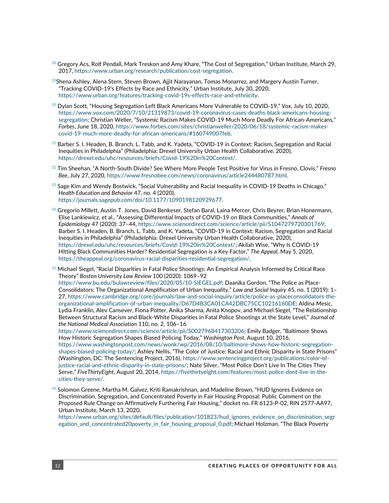- $^{28}$  Gregory Acs, Rolf Pendall, Mark Treskon and Amy Khare, "The Cost of Segregation," Urban Institute, March 29, 2017[, https://www.urban.org/research/publication/cost-segregation.](https://www.urban.org/research/publication/cost-segregation)
- $^{29}$ Shena Ashley, Alena Stern, Steven Brown, Ajjit Narayanan, Tomas Monarrez, and Margery Austin Turner, "Tracking COVID-19's Effects by Race and Ethnicity," Urban Institute, July 30, 2020, [https://www.urban.org/features/tracking-covid-19s-effects-race-and-ethnicity.](https://www.urban.org/features/tracking-covid-19s-effects-race-and-ethnicity)
- <sup>30</sup> Dylan Scott, "Housing Segregation Left Black Americans More Vulnerable to COVID-19," *Vox*, July 10, 2020, [https://www.vox.com/2020/7/10/21319873/covid-19-coronavirus-cases-deaths-black-americans-housing](https://www.vox.com/2020/7/10/21319873/covid-19-coronavirus-cases-deaths-black-americans-housing-segregation)[segregation](https://www.vox.com/2020/7/10/21319873/covid-19-coronavirus-cases-deaths-black-americans-housing-segregation); Christian Weller, "Systemic Racism Makes COVID-19 Much More Deadly For African-Americans," *Forbes*, June 18, 2020[, https://www.forbes.com/sites/christianweller/2020/06/18/systemic-racism-makes](https://www.forbes.com/sites/christianweller/2020/06/18/systemic-racism-makes-covid-19-much-more-deadly-for-african-americans/#160749007feb)[covid-19-much-more-deadly-for-african-americans/#160749007feb.](https://www.forbes.com/sites/christianweller/2020/06/18/systemic-racism-makes-covid-19-much-more-deadly-for-african-americans/#160749007feb)
- $31$  Barber S. I. Headen, B. Branch, L. Tabb, and K. Yadeta, "COVID-19 in Context: Racism, Segregation and Racial Inequities in Philadelphia" (Philadelphia: Drexel University Urban Health Collaborative, 2020), [https://drexel.edu/uhc/resources/briefs/Covid-19%20in%20Context/.](https://drexel.edu/uhc/resources/briefs/Covid-19%20in%20Context/)
- <sup>32</sup> Tim Sheehan, "A North-South Divide? See Where More People Test Positive for Virus in Fresno, Clovis," *Fresno Bee*, July 27, 2020[, https://www.fresnobee.com/news/coronavirus/article244480787.html.](https://www.fresnobee.com/news/coronavirus/article244480787.html)
- $^{33}$  Sage Kim and Wendy Bostwick, "Social Vulnerability and Racial Inequality in COVID-19 Deaths in Chicago," *Health Education and Behavior* 47, no. 4 (2020), [https://journals.sagepub.com/doi/10.1177/1090198120929677.](https://journals.sagepub.com/doi/10.1177/1090198120929677)
- $34$  Gregorio Millett, Austin T. Jones, David Benkeser, Stefan Baral, Laina Mercer, Chris Beyrer, Brian Honermann, Elise Lankiewicz, et al., "Assessing Differential Impacts of COVID-19 on Black Communities," *Annals of Epidemiology* 47 (2020): 37–44, [https://www.sciencedirect.com/science/article/pii/S1047279720301769;](https://www.sciencedirect.com/science/article/pii/S1047279720301769) Barber S. I. Headen, B. Branch, L. Tabb, and K. Yadeta, "COVID-19 in Context: Racism, Segregation and Racial Inequities in Philadelphia" (Philadelphia: Drexel University Urban Health Collaborative, 2020), <https://drexel.edu/uhc/resources/briefs/Covid-19%20in%20Context/>; Akilah Wise, "Why Is COVID-19 Hitting Black Communities Harder? Residential Segregation is a Key Factor," *The Appeal*, May 5, 2020, [https://theappeal.org/coronavirus-racial-disparities-residential-segregation/.](https://theappeal.org/coronavirus-racial-disparities-residential-segregation/)

 $^{35}$  Michael Siegel, "Racial Disparities in Fatal Police Shootings: An Empirical Analysis Informed by Critical Race Theory" *Boston University Law Review* 100 (2020): 1069–92 [https://www.bu.edu/bulawreview/files/2020/05/10-SIEGEL.pdf;](https://www.bu.edu/bulawreview/files/2020/05/10-SIEGEL.pdf) Daanika Gordon, "The Police as Place-Consolidators: The Organizational Amplification of Urban Inequality," *Law and Social Inquiry* 45, no. 1 (2019): 1– 27, [https://www.cambridge.org/core/journals/law-and-social-inquiry/article/police-as-placeconsolidators-the](https://www.cambridge.org/core/journals/law-and-social-inquiry/article/police-as-placeconsolidators-the-organizational-amplification-of-urban-inequality/D67D4B3CA01CA42DBC75CC10216160DE)[organizational-amplification-of-urban-inequality/D67D4B3CA01CA42DBC75CC10216160DE;](https://www.cambridge.org/core/journals/law-and-social-inquiry/article/police-as-placeconsolidators-the-organizational-amplification-of-urban-inequality/D67D4B3CA01CA42DBC75CC10216160DE) Aldina Mesic, Lydia Franklin, Alev Cansever, Fiona Potter, Anika Sharma, Anita Knopov, and Michael Siegel, "The Relationship Between Structural Racism and Black-White Disparities in Fatal Police Shootings at the State Level," *Journal of the National Medical Association* 110, no. 2, 106–16

<https://www.sciencedirect.com/science/article/pii/S0027968417303206>; Emily Badger, "Baltimore Shows How Historic Segregation Shapes Biased Policing Today," *Washington Post*, August 10, 2016, [https://www.washingtonpost.com/news/wonk/wp/2016/08/10/baltimore-shows-how-historic-segregation-](https://www.washingtonpost.com/news/wonk/wp/2016/08/10/baltimore-shows-how-historic-segregation-shapes-biased-policing-today/)

[shapes-biased-policing-today/;](https://www.washingtonpost.com/news/wonk/wp/2016/08/10/baltimore-shows-how-historic-segregation-shapes-biased-policing-today/) Ashley Nellis, "The Color of Justice: Racial and Ethnic Disparity in State Prisons" (Washington, DC: The Sentencing Project, 2016), [https://www.sentencingproject.org/publications/color-of](https://www.sentencingproject.org/publications/color-of-justice-racial-and-ethnic-disparity-in-state-prisons/)[justice-racial-and-ethnic-disparity-in-state-prisons/](https://www.sentencingproject.org/publications/color-of-justice-racial-and-ethnic-disparity-in-state-prisons/); Nate Silver, "Most Police Don't Live In The Cities They Serve," *FiveThirtyEight*, August 20, 2014[, https://fivethirtyeight.com/features/most-police-dont-live-in-the](https://fivethirtyeight.com/features/most-police-dont-live-in-the-cities-they-serve/)[cities-they-serve/.](https://fivethirtyeight.com/features/most-police-dont-live-in-the-cities-they-serve/)

 $\frac{36}{5}$  Solomon Greene, Martha M. Galvez, Kriti Ramakrishnan, and Madeline Brown, "HUD Ignores Evidence on Discrimination, Segregation, and Concentrated Poverty in Fair Housing Proposal: Public Comment on the Proposed Rule Change on Affirmatively Furthering Fair Housing," docket no. FR 6123-P-02, RIN 2577-AA97, Urban Institute, March 13, 2020,

[https://www.urban.org/sites/default/files/publication/101823/hud\\_ignores\\_evidence\\_on\\_discrimination\\_segr](https://www.urban.org/sites/default/files/publication/101823/hud_ignores_evidence_on_discrimination_segregation_and_concentrated20poverty_in_fair_housing_proposal_0.pdf) [egation\\_and\\_concentrated20poverty\\_in\\_fair\\_housing\\_proposal\\_0.pdf](https://www.urban.org/sites/default/files/publication/101823/hud_ignores_evidence_on_discrimination_segregation_and_concentrated20poverty_in_fair_housing_proposal_0.pdf); Michael Holzman, "The Black Poverty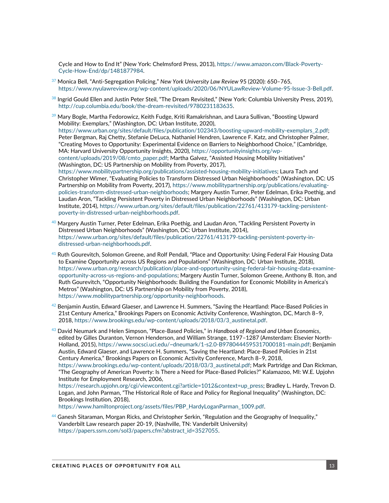Cycle and How to End It" (New York: Chelmsford Press, 2013), [https://www.amazon.com/Black-Poverty-](https://www.amazon.com/Black-Poverty-Cycle-How-End/dp/1481877984)[Cycle-How-End/dp/1481877984.](https://www.amazon.com/Black-Poverty-Cycle-How-End/dp/1481877984)

- <sup>37</sup> Monica Bell, "Anti-Segregation Policing," *New York University Law Review* 95 (2020): 650–765, [https://www.nyulawreview.org/wp-content/uploads/2020/06/NYULawReview-Volume-95-Issue-3-Bell.pdf.](https://www.nyulawreview.org/wp-content/uploads/2020/06/NYULawReview-Volume-95-Issue-3-Bell.pdf)
- $38$  Ingrid Gould Ellen and Justin Peter Steil, "The Dream Revisited," (New York: Columbia University Press, 2019), [http://cup.columbia.edu/book/the-dream-revisited/9780231183635.](http://cup.columbia.edu/book/the-dream-revisited/9780231183635)
- $^{39}$  Mary Bogle, Martha Fedorowicz, Keith Fudge, Kriti Ramakrishnan, and Laura Sullivan, "Boosting Upward Mobility: Exemplars," (Washington, DC: Urban Institute, 2020), https://www.urban.org/sites/default/files/publication/102343/boosting-upward-mobility-exemplars\_2.pdf; Peter Bergman, Raj Chetty, Stefanie DeLuca, Nathaniel Hendren, Lawrence F. Katz, and Christopher Palmer, "Creating Moves to Opportunity: Experimental Evidence on Barriers to Neighborhood Choice," (Cambridge, MA: Harvard University Opportunity Insights, 2020), [https://opportunityinsights.org/wp](https://opportunityinsights.org/wp-content/uploads/2019/08/cmto_paper.pdf)[content/uploads/2019/08/cmto\\_paper.pdf](https://opportunityinsights.org/wp-content/uploads/2019/08/cmto_paper.pdf); Martha Galvez, "Assisted Housing Mobility Initiatives" (Washington, DC: US Partnership on Mobility from Poverty, 2017), [https://www.mobilitypartnership.org/publications/assisted-housing-mobility-initiatives;](https://www.mobilitypartnership.org/publications/assisted-housing-mobility-initiatives) Laura Tach and Christopher Wimer, "Evaluating Policies to Transform Distressed Urban Neighborhoods" (Washington, DC: US Partnership on Mobility from Poverty, 2017), [https://www.mobilitypartnership.org/publications/evaluating](https://www.mobilitypartnership.org/publications/evaluating-policies-transform-distressed-urban-neighborhoods)[policies-transform-distressed-urban-neighborhoods;](https://www.mobilitypartnership.org/publications/evaluating-policies-transform-distressed-urban-neighborhoods) Margery Austin Turner, Peter Edelman, Erika Poethig, and Laudan Aron, "Tackling Persistent Poverty in Distressed Urban Neighborhoods" (Washington, DC: Urban

Institute, 2014), [https://www.urban.org/sites/default/files/publication/22761/413179-tackling-persistent-](https://www.urban.org/sites/default/files/publication/22761/413179-tackling-persistent-poverty-in-distressed-urban-neighborhoods.pdf)

- [poverty-in-distressed-urban-neighborhoods.pdf.](https://www.urban.org/sites/default/files/publication/22761/413179-tackling-persistent-poverty-in-distressed-urban-neighborhoods.pdf)  $^{40}$  Margery Austin Turner, Peter Edelman, Erika Poethig, and Laudan Aron, "Tackling Persistent Poverty in Distressed Urban Neighborhoods" (Washington, DC: Urban Institute, 2014), [https://www.urban.org/sites/default/files/publication/22761/413179-tackling-persistent-poverty-in](https://www.urban.org/sites/default/files/publication/22761/413179-tackling-persistent-poverty-in-distressed-urban-neighborhoods.pdf)[distressed-urban-neighborhoods.pdf.](https://www.urban.org/sites/default/files/publication/22761/413179-tackling-persistent-poverty-in-distressed-urban-neighborhoods.pdf)
- $^{41}$  Ruth Gourevitch, Solomon Greene, and Rolf Pendall, "Place and Opportunity: Using Federal Fair Housing Data to Examine Opportunity across US Regions and Populations" (Washington, DC: Urban Institute, 2018), [https://www.urban.org/research/publication/place-and-opportunity-using-federal-fair-housing-data-examine](https://www.urban.org/research/publication/place-and-opportunity-using-federal-fair-housing-data-examine-opportunity-across-us-regions-and-populations)[opportunity-across-us-regions-and-populations;](https://www.urban.org/research/publication/place-and-opportunity-using-federal-fair-housing-data-examine-opportunity-across-us-regions-and-populations) Margery Austin Turner, Solomon Greene, Anthony B. Iton, and Ruth Gourevitch, "Opportunity Neighborhoods: Building the Foundation for Economic Mobility in America's Metros" (Washington, DC: US Partnership on Mobility from Poverty, 2018), [https://www.mobilitypartnership.org/opportunity-neighborhoods.](https://www.mobilitypartnership.org/opportunity-neighborhoods)
- $^{42}$  Benjamin Austin, Edward Glaeser, and Lawrence H. Summers, "Saving the Heartland: Place-Based Policies in 21st Century America," Brookings Papers on Economic Activity Conference, Washington, DC, March 8–9, 2018[, https://www.brookings.edu/wp-content/uploads/2018/03/3\\_austinetal.pdf.](https://www.brookings.edu/wp-content/uploads/2018/03/3_austinetal.pdf)
- <sup>43</sup> David Neumark and Helen Simpson, "Place-Based Policies," in *Handbook of Regional and Urban Economics*, edited by Gilles Duranton, Vernon Henderson, and William Strange, 1197–1287 (Amsterdam: Elsevier North-Holland, 2015), [https://www.socsci.uci.edu/~dneumark/1-s2.0-B9780444595317000181-main.pdf;](https://www.socsci.uci.edu/~dneumark/1-s2.0-B9780444595317000181-main.pdf) Benjamin Austin, Edward Glaeser, and Lawrence H. Summers, "Saving the Heartland: Place-Based Policies in 21st Century America," Brookings Papers on Economic Activity Conference, March 8–9, 2018, [https://www.brookings.edu/wp-content/uploads/2018/03/3\\_austinetal.pdf;](https://www.brookings.edu/wp-content/uploads/2018/03/3_austinetal.pdf) Mark Partridge and Dan Rickman, "The Geography of American Poverty: Is There a Need for Place-Based Policies?" Kalamazoo, MI: W.E. Upjohn Institute for Employment Research, 2006, [https://research.upjohn.org/cgi/viewcontent.cgi?article=1012&context=up\\_press;](https://research.upjohn.org/cgi/viewcontent.cgi?article=1012&context=up_press) Bradley L. Hardy, Trevon D.

Logan, and John Parman, "The Historical Role of Race and Policy for Regional Inequality" (Washington, DC: Brookings Institution, 2018),

[https://www.hamiltonproject.org/assets/files/PBP\\_HardyLoganParman\\_1009.pdf.](https://www.hamiltonproject.org/assets/files/PBP_HardyLoganParman_1009.pdf)

 $^{44}$  Ganesh Sitaraman, Morgan Ricks, and Christopher Serkin, "Regulation and the Geography of Inequality," Vanderbilt Law research paper 20-19, (Nashville, TN: Vanderbilt University) [https://papers.ssrn.com/sol3/papers.cfm?abstract\\_id=3527055.](https://papers.ssrn.com/sol3/papers.cfm?abstract_id=3527055)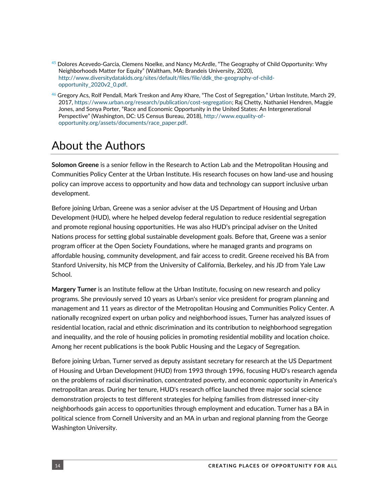- $^{45}$  Dolores Acevedo-Garcia, Clemens Noelke, and Nancy McArdle, "The Geography of Child Opportunity: Why Neighborhoods Matter for Equity" (Waltham, MA: Brandeis University, 2020), [http://www.diversitydatakids.org/sites/default/files/file/ddk\\_the-geography-of-child](http://www.diversitydatakids.org/sites/default/files/file/ddk_the-geography-of-child-opportunity_2020v2_0.pdf)[opportunity\\_2020v2\\_0.pdf.](http://www.diversitydatakids.org/sites/default/files/file/ddk_the-geography-of-child-opportunity_2020v2_0.pdf)
- $^{46}$  Gregory Acs, Rolf Pendall, Mark Treskon and Amy Khare, "The Cost of Segregation," Urban Institute, March 29, 2017[, https://www.urban.org/research/publication/cost-segregation;](https://www.urban.org/research/publication/cost-segregation) Raj Chetty, Nathaniel Hendren, Maggie Jones, and Sonya Porter, "Race and Economic Opportunity in the United States: An Intergenerational Perspective" (Washington, DC: US Census Bureau, 2018), [http://www.equality-of](http://www.equality-of-opportunity.org/assets/documents/race_paper.pdf)[opportunity.org/assets/documents/race\\_paper.pdf.](http://www.equality-of-opportunity.org/assets/documents/race_paper.pdf)

# About the Authors

**Solomon Greene** is a senior fellow in the Research to Action Lab and the Metropolitan Housing and Communities Policy Center at the Urban Institute. His research focuses on how land-use and housing policy can improve access to opportunity and how data and technology can support inclusive urban development.

Before joining Urban, Greene was a senior adviser at the US Department of Housing and Urban Development (HUD), where he helped develop federal regulation to reduce residential segregation and promote regional housing opportunities. He was also HUD's principal adviser on the United Nations process for setting global sustainable development goals. Before that, Greene was a senior program officer at the Open Society Foundations, where he managed grants and programs on affordable housing, community development, and fair access to credit. Greene received his BA from Stanford University, his MCP from the University of California, Berkeley, and his JD from Yale Law School.

**Margery Turner** is an Institute fellow at the Urban Institute, focusing on new research and policy programs. She previously served 10 years as Urban's senior vice president for program planning and management and 11 years as director of the Metropolitan Housing and Communities Policy Center. A nationally recognized expert on urban policy and neighborhood issues, Turner has analyzed issues of residential location, racial and ethnic discrimination and its contribution to neighborhood segregation and inequality, and the role of housing policies in promoting residential mobility and location choice. Among her recent publications is the book Public Housing and the Legacy of Segregation.

Before joining Urban, Turner served as deputy assistant secretary for research at the US Department of Housing and Urban Development (HUD) from 1993 through 1996, focusing HUD's research agenda on the problems of racial discrimination, concentrated poverty, and economic opportunity in America's metropolitan areas. During her tenure, HUD's research office launched three major social science demonstration projects to test different strategies for helping families from distressed inner-city neighborhoods gain access to opportunities through employment and education. Turner has a BA in political science from Cornell University and an MA in urban and regional planning from the George Washington University.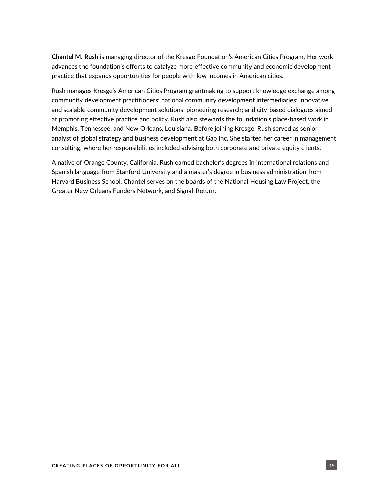**Chantel M. Rush** is managing director of the Kresge Foundation's American Cities Program. Her work advances the foundation's efforts to catalyze more effective community and economic development practice that expands opportunities for people with low incomes in American cities.

Rush manages Kresge's American Cities Program grantmaking to support knowledge exchange among community development practitioners; national community development intermediaries; innovative and scalable community development solutions; pioneering research; and city-based dialogues aimed at promoting effective practice and policy. Rush also stewards the foundation's place-based work in Memphis, Tennessee, and New Orleans, Louisiana. Before joining Kresge, Rush served as senior analyst of global strategy and business development at Gap Inc. She started her career in management consulting, where her responsibilities included advising both corporate and private equity clients.

A native of Orange County, California, Rush earned bachelor's degrees in international relations and Spanish language from Stanford University and a master's degree in business administration from Harvard Business School. Chantel serves on the boards of the National Housing Law Project, the Greater New Orleans Funders Network, and Signal-Return.